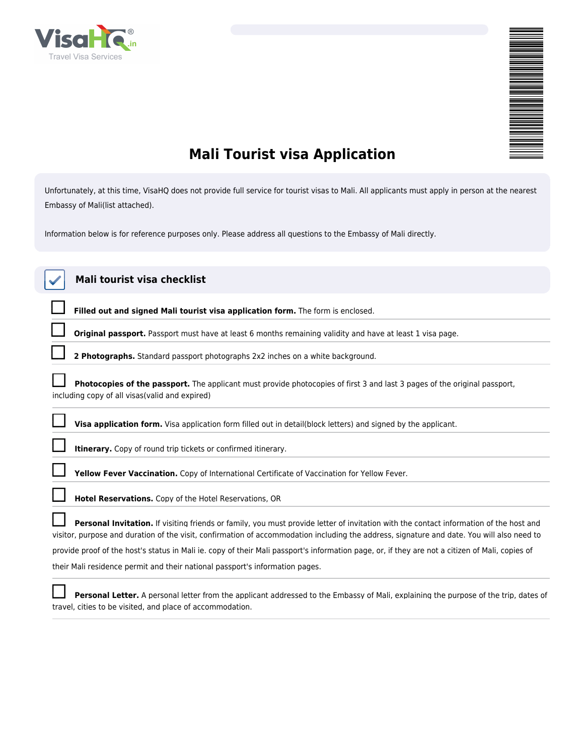

## **Mali Tourist visa Application**

*Unfortunately, at this time, VisaHQ does not provide full service for tourist visas to Mali. All applicants must apply in person at the nearest Embassy of Mali(list attached).*

*Information below is for reference purposes only. Please address all questions to the Embassy of Mali directly.*

| Mali tourist visa checklist                                                                                                                                                                                                                                                          |  |  |  |
|--------------------------------------------------------------------------------------------------------------------------------------------------------------------------------------------------------------------------------------------------------------------------------------|--|--|--|
| Filled out and signed Mali tourist visa application form. The form is enclosed.                                                                                                                                                                                                      |  |  |  |
| Original passport. Passport must have at least 6 months remaining validity and have at least 1 visa page.                                                                                                                                                                            |  |  |  |
| 2 Photographs. Standard passport photographs 2x2 inches on a white background.                                                                                                                                                                                                       |  |  |  |
| Photocopies of the passport. The applicant must provide photocopies of first 3 and last 3 pages of the original passport,<br>including copy of all visas (valid and expired)                                                                                                         |  |  |  |
| Visa application form. Visa application form filled out in detail(block letters) and signed by the applicant.                                                                                                                                                                        |  |  |  |
| Itinerary. Copy of round trip tickets or confirmed itinerary.                                                                                                                                                                                                                        |  |  |  |
| Yellow Fever Vaccination. Copy of International Certificate of Vaccination for Yellow Fever.                                                                                                                                                                                         |  |  |  |
| <b>Hotel Reservations.</b> Copy of the Hotel Reservations, OR                                                                                                                                                                                                                        |  |  |  |
| Personal Invitation. If visiting friends or family, you must provide letter of invitation with the contact information of the host and<br>visitor, purpose and duration of the visit, confirmation of accommodation including the address, signature and date. You will also need to |  |  |  |
| provide proof of the host's status in Mali ie. copy of their Mali passport's information page, or, if they are not a citizen of Mali, copies of                                                                                                                                      |  |  |  |
| their Mali residence permit and their national passport's information pages.                                                                                                                                                                                                         |  |  |  |
| Personal Letter. A personal letter from the applicant addressed to the Embassy of Mali, explaining the purpose of the trip, dates of                                                                                                                                                 |  |  |  |

*travel, cities to be visited, and place of accommodation.*